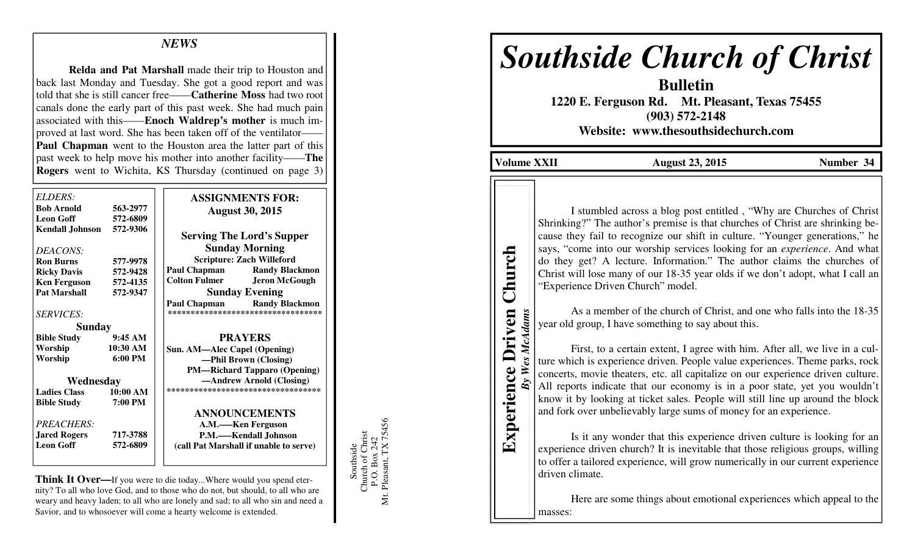## *NEWS*

**Relda and Pat Marshall** made their trip to Houston and back last Monday and Tuesday. She got a good report and was told that she is still cancer free——**Catherine Moss** had two root canals done the early part of this past week. She had much pain associated with this——**Enoch Waldrep's mother** is much improved at last word. She has been taken off of the ventilator—— **Paul Chapman** went to the Houston area the latter part of this past week to help move his mother into another facility——**The Rogers** went to Wichita, KS Thursday (continued on page 3)

| ELDERS:                |                   | <b>ASSIGNMENTS FOR:</b>                      |
|------------------------|-------------------|----------------------------------------------|
| <b>Bob Arnold</b>      | 563-2977          |                                              |
| <b>Leon Goff</b>       | 572-6809          | <b>August 30, 2015</b>                       |
| <b>Kendall Johnson</b> | 572-9306          |                                              |
|                        |                   | <b>Serving The Lord's Supper</b>             |
|                        |                   | <b>Sunday Morning</b>                        |
| DEACONS:               |                   | <b>Scripture: Zach Willeford</b>             |
| <b>Ron Burns</b>       | 577-9978          | <b>Paul Chapman</b><br><b>Randy Blackmon</b> |
| <b>Ricky Davis</b>     | 572-9428          |                                              |
| <b>Ken Ferguson</b>    | 572-4135          | <b>Colton Fulmer</b><br><b>Jeron McGough</b> |
| <b>Pat Marshall</b>    | 572-9347          | <b>Sunday Evening</b>                        |
|                        |                   | Paul Chapman<br><b>Randy Blackmon</b>        |
| <i>SERVICES:</i>       |                   | **********************************           |
| Sunday                 |                   |                                              |
| <b>Bible Study</b>     | 9:45AM            | <b>PRAYERS</b>                               |
| Worship                | 10:30 AM          | Sun. AM—Alec Capel (Opening)                 |
| Worship                | $6:00 \text{ PM}$ | —Phil Brown (Closing)                        |
|                        |                   | <b>PM—Richard Tapparo (Opening)</b>          |
| Wednesday              |                   | -Andrew Arnold (Closing)                     |
| <b>Ladies Class</b>    | 10:00 AM          | ***********************************          |
| <b>Bible Study</b>     | 7:00 PM           |                                              |
|                        |                   | <b>ANNOUNCEMENTS</b>                         |
| <b>PREACHERS:</b>      |                   | A.M.—–Ken Ferguson                           |
| <b>Jared Rogers</b>    | 717-3788          | P.M.-Kendall Johnson                         |
| <b>Leon Goff</b>       | 572-6809          | (call Pat Marshall if unable to serve)       |
|                        |                   |                                              |
|                        |                   |                                              |

**Think It Over—**If you were to die today...Where would you spend eternity? To all who love God, and to those who do not, but should, to all who are weary and heavy laden; to all who are lonely and sad; to all who sin and need a Savior, and to whosoever will come a hearty welcome is extended.

Southside<br>Church of Christ<br>P.O. Box 242<br>Mt. Pleasant, TX 75456 Mt. Pleasant, TX 75456 Church of Christ P.O. Box 242

Southside

# *Southside Church of Christ*

**Bulletin 1220 E. Ferguson Rd. Mt. Pleasant, Texas 75455 (903) 572-2148 Website: www.thesouthsidechurch.com** 

**Volume XXII August 23, 2015 Number 34** 

**Experience Driven Church** *By Wes McAdams* 

Wes McAdams

**Experience Driven** 

Church

I stumbled across a blog post entitled , "Why are Churches of Christ Shrinking?" The author's premise is that churches of Christ are shrinking because they fail to recognize our shift in culture. "Younger generations," he says, "come into our worship services looking for an *experience*. And what do they get? A lecture. Information." The author claims the churches of Christ will lose many of our 18-35 year olds if we don't adopt, what I call an "Experience Driven Church" model.

 As a member of the church of Christ, and one who falls into the 18-35 year old group, I have something to say about this.

 First, to a certain extent, I agree with him. After all, we live in a culture which is experience driven. People value experiences. Theme parks, rock concerts, movie theaters, etc. all capitalize on our experience driven culture. All reports indicate that our economy is in a poor state, yet you wouldn't know it by looking at ticket sales. People will still line up around the block and fork over unbelievably large sums of money for an experience.

 Is it any wonder that this experience driven culture is looking for an experience driven church? It is inevitable that those religious groups, willing to offer a tailored experience, will grow numerically in our current experience driven climate.

 Here are some things about emotional experiences which appeal to the masses: